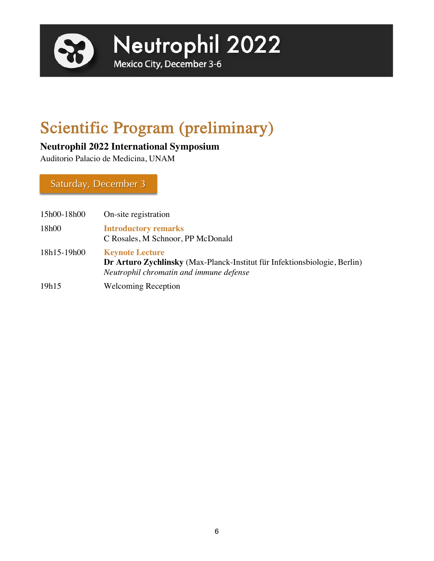

# Scientific Program (preliminary)

# **Neutrophil 2022 International Symposium**

Auditorio Palacio de Medicina, UNAM

Saturday, December 3

| 15h00-18h00 | On-site registration                                                                                                                           |
|-------------|------------------------------------------------------------------------------------------------------------------------------------------------|
| 18h00       | <b>Introductory remarks</b><br>C Rosales, M Schnoor, PP McDonald                                                                               |
| 18h15-19h00 | <b>Keynote Lecture</b><br>Dr Arturo Zychlinsky (Max-Planck-Institut für Infektionsbiologie, Berlin)<br>Neutrophil chromatin and immune defense |
| 19h15       | <b>Welcoming Reception</b>                                                                                                                     |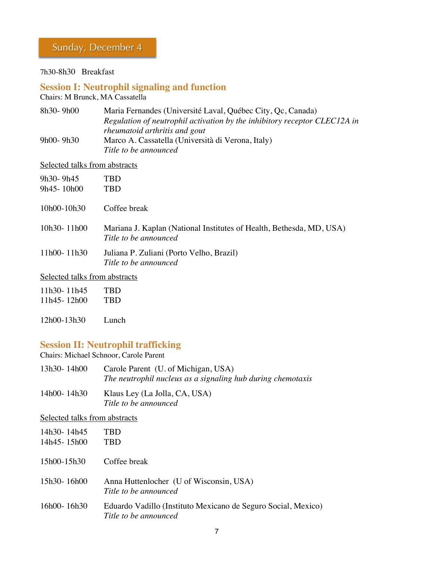# Sunday, December 4

7h30-8h30 Breakfast

# **Session I: Neutrophil signaling and function**

Chairs: M Brunck, MA Cassatella

| 8h30-9h00     | Maria Fernandes (Université Laval, Québec City, Qc, Canada)               |
|---------------|---------------------------------------------------------------------------|
|               | Regulation of neutrophil activation by the inhibitory receptor CLEC12A in |
|               | <i>rheumatoid arthritis and gout</i>                                      |
| $9h00 - 9h30$ | Marco A. Cassatella (Università di Verona, Italy)                         |
|               | Title to be announced                                                     |

## Selected talks from abstracts

| 9h30-9h45<br>9h45-10h00 | TBD<br>TBD                                                                                    |
|-------------------------|-----------------------------------------------------------------------------------------------|
| $10h00-10h30$           | Coffee break                                                                                  |
| $10h30 - 11h00$         | Mariana J. Kaplan (National Institutes of Health, Bethesda, MD, USA)<br>Title to be announced |
| 11h00-11h30             | Juliana P. Zuliani (Porto Velho, Brazil)<br>Title to be announced                             |

## Selected talks from abstracts

| 11h30-11h45 | TBD |
|-------------|-----|
| 11h45-12h00 | TBD |
|             |     |

12h00-13h30 Lunch

# **Session II: Neutrophil trafficking**

Chairs: Michael Schnoor, Carole Parent

| 13h30-14h00     | Carole Parent (U. of Michigan, USA)                         |
|-----------------|-------------------------------------------------------------|
|                 | The neutrophil nucleus as a signaling hub during chemotaxis |
| $14h00 - 14h30$ | Klaus Lev (La Iolla CA IISA)                                |

14h00- 14h30 Klaus Ley (La Jolla, CA, USA) *Title to be announced*

# Selected talks from abstracts

| 14h30-14h45<br>14h45-15h00 | TBD<br>TBD                                                                             |
|----------------------------|----------------------------------------------------------------------------------------|
| 15h00-15h30                | Coffee break                                                                           |
| 15h30-16h00                | Anna Huttenlocher (U of Wisconsin, USA)<br>Title to be announced                       |
| 16h00-16h30                | Eduardo Vadillo (Instituto Mexicano de Seguro Social, Mexico)<br>Title to be announced |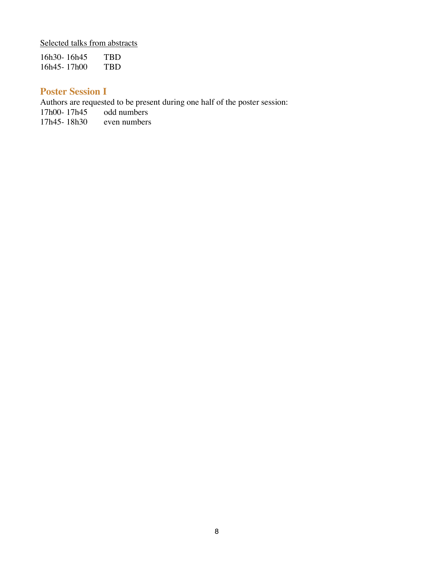Selected talks from abstracts

16h30-16h45 TBD<br>16h45-17h00 TBD 16h45- 17h00

# **Poster Session I**

Authors are requested to be present during one half of the poster session:<br>17h00-17h45 odd numbers

17h00-17h45 odd numbers<br>17h45-18h30 even numbers  $17h45 - 18h30$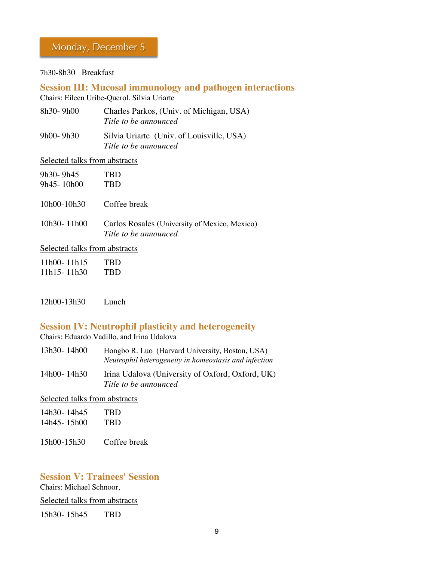#### 7h30-8h30 Breakfast

**Session III: Mucosal immunology and pathogen interactions** Chairs: Eileen Uribe-Querol, Silvia Uriarte

| 8h30- 9h00 | Charles Parkos, (Univ. of Michigan, USA)<br>Title to be announced  |
|------------|--------------------------------------------------------------------|
| 9h00- 9h30 | Silvia Uriarte (Univ. of Louisville, USA)<br>Title to be announced |

#### Selected talks from abstracts

| 9h30-9h45                     | <b>TBD</b>                                                             |
|-------------------------------|------------------------------------------------------------------------|
| 9h45-10h00                    | <b>TBD</b>                                                             |
| 10h00-10h30                   | Coffee break                                                           |
| 10h30-11h00                   | Carlos Rosales (University of Mexico, Mexico)<br>Title to be announced |
| Selected talks from abstracts |                                                                        |
| 11h00-11h15                   |                                                                        |

| THUVE THILL     | ,,,,,      |
|-----------------|------------|
| $11h15 - 11h30$ | <b>TBD</b> |

#### 12h00-13h30 Lunch

## **Session IV: Neutrophil plasticity and heterogeneity**

Chairs: Eduardo Vadillo, and Irina Udalova

| 13h30-14h00 | Hongbo R. Luo (Harvard University, Boston, USA)       |
|-------------|-------------------------------------------------------|
|             | Neutrophil heterogeneity in homeostasis and infection |

14h00- 14h30 Irina Udalova (University of Oxford, Oxford, UK) *Title to be announced*

#### Selected talks from abstracts

| 14h30-14h45 | TBD |
|-------------|-----|
| 14h45-15h00 | TBD |
|             |     |

15h00-15h30 Coffee break

## **Session V: Trainees' Session**

Chairs: Michael Schnoor,

#### Selected talks from abstracts

15h30- 15h45 TBD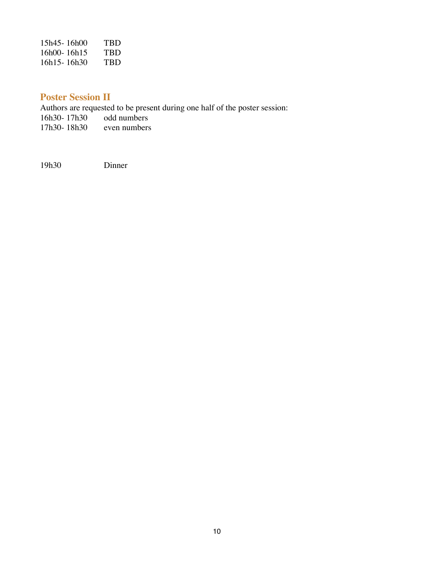| 15h45-16h00 | TBD |
|-------------|-----|
| 16h00-16h15 | TRD |
| 16h15-16h30 | TBD |

# **Poster Session II**

Authors are requested to be present during one half of the poster session:<br>16h30-17h30 odd numbers 16h30-17h30 odd numbers<br>17h30-18h30 even numbers  $17h30 - 18h30$ 

19h30 Dinner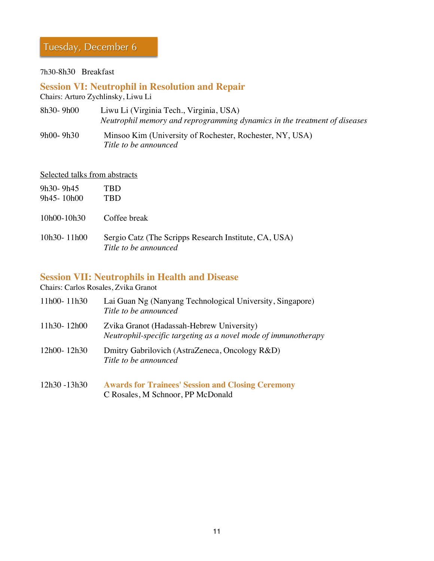# Tuesday, December 6

#### 7h30-8h30 Breakfast

#### **Session VI: Neutrophil in Resolution and Repair** Chairs: Arturo Zychlinsky, Liwu Li

| 8h30-9h00 | Liwu Li (Virginia Tech., Virginia, USA)                                   |
|-----------|---------------------------------------------------------------------------|
|           | Neutrophil memory and reprogramming dynamics in the treatment of diseases |
| 9h00-9h30 | Minsoo Kim (University of Rochester, Rochester, NY, USA)                  |

*Title to be announced*

#### Selected talks from abstracts

| 9h30-9h45<br>$9h45 - 10h00$ | TRD<br>TRD                                                                     |
|-----------------------------|--------------------------------------------------------------------------------|
| 10h00-10h30                 | Coffee break                                                                   |
| $10h30 - 11h00$             | Sergio Catz (The Scripps Research Institute, CA, USA)<br>Title to be announced |

## **Session VII: Neutrophils in Health and Disease**

Chairs: Carlos Rosales, Zvika Granot

| 11h00-11h30  | Lai Guan Ng (Nanyang Technological University, Singapore)<br>Title to be announced                          |
|--------------|-------------------------------------------------------------------------------------------------------------|
| 11h30-12h00  | Zvika Granot (Hadassah-Hebrew University)<br>Neutrophil-specific targeting as a novel mode of immunotherapy |
| 12h00-12h30  | Dmitry Gabrilovich (AstraZeneca, Oncology R&D)<br>Title to be announced                                     |
| 12h30 -13h30 | <b>Awards for Trainees' Session and Closing Ceremony</b>                                                    |

C Rosales, M Schnoor, PP McDonald